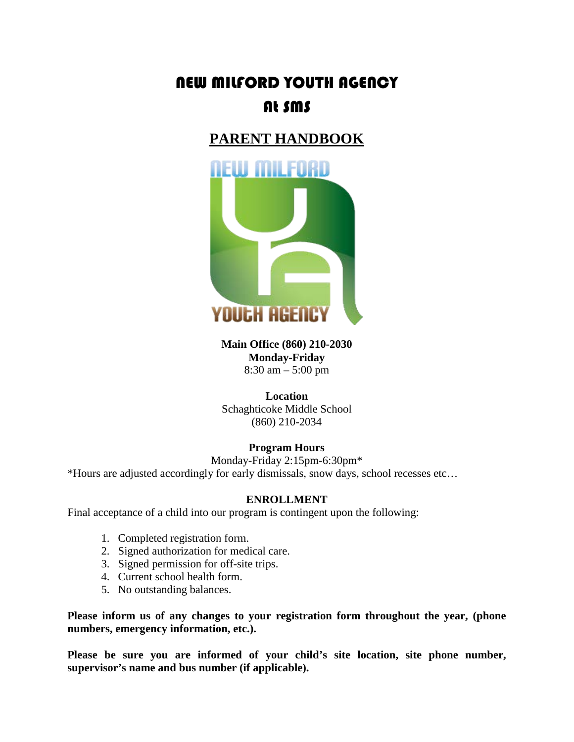# NEW MILFORD YOUTH AGENCY At SMS

## **PARENT HANDBOOK**



**Main Office (860) 210-2030 Monday-Friday** 8:30 am – 5:00 pm

**Location** Schaghticoke Middle School (860) 210-2034

## **Program Hours**

Monday-Friday 2:15pm-6:30pm\* \*Hours are adjusted accordingly for early dismissals, snow days, school recesses etc…

#### **ENROLLMENT**

Final acceptance of a child into our program is contingent upon the following:

- 1. Completed registration form.
- 2. Signed authorization for medical care.
- 3. Signed permission for off-site trips.
- 4. Current school health form.
- 5. No outstanding balances.

**Please inform us of any changes to your registration form throughout the year, (phone numbers, emergency information, etc.).**

**Please be sure you are informed of your child's site location, site phone number, supervisor's name and bus number (if applicable).**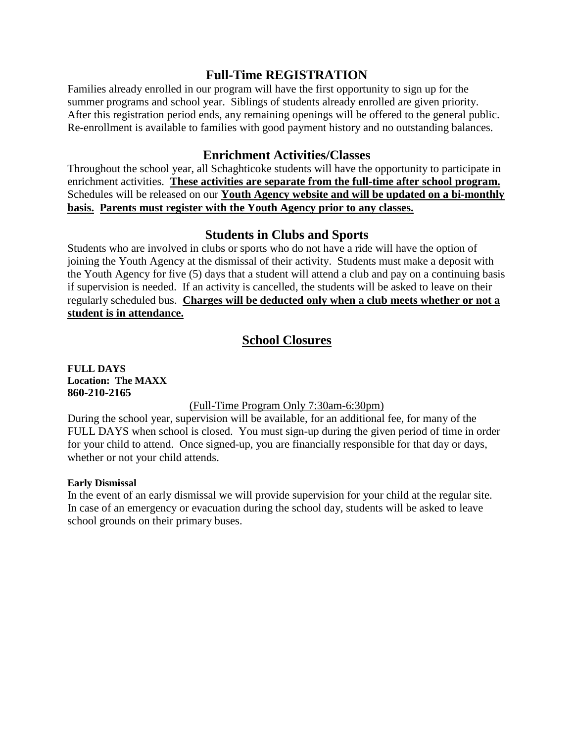## **Full-Time REGISTRATION**

Families already enrolled in our program will have the first opportunity to sign up for the summer programs and school year. Siblings of students already enrolled are given priority. After this registration period ends, any remaining openings will be offered to the general public. Re-enrollment is available to families with good payment history and no outstanding balances.

## **Enrichment Activities/Classes**

Throughout the school year, all Schaghticoke students will have the opportunity to participate in enrichment activities. **These activities are separate from the full-time after school program.** Schedules will be released on our **Youth Agency website and will be updated on a bi-monthly basis. Parents must register with the Youth Agency prior to any classes.** 

## **Students in Clubs and Sports**

Students who are involved in clubs or sports who do not have a ride will have the option of joining the Youth Agency at the dismissal of their activity. Students must make a deposit with the Youth Agency for five (5) days that a student will attend a club and pay on a continuing basis if supervision is needed. If an activity is cancelled, the students will be asked to leave on their regularly scheduled bus. **Charges will be deducted only when a club meets whether or not a student is in attendance.** 

## **School Closures**

**FULL DAYS Location: The MAXX 860-210-2165**

## (Full-Time Program Only 7:30am-6:30pm)

During the school year, supervision will be available, for an additional fee, for many of the FULL DAYS when school is closed. You must sign-up during the given period of time in order for your child to attend. Once signed-up, you are financially responsible for that day or days, whether or not your child attends.

#### **Early Dismissal**

In the event of an early dismissal we will provide supervision for your child at the regular site. In case of an emergency or evacuation during the school day, students will be asked to leave school grounds on their primary buses.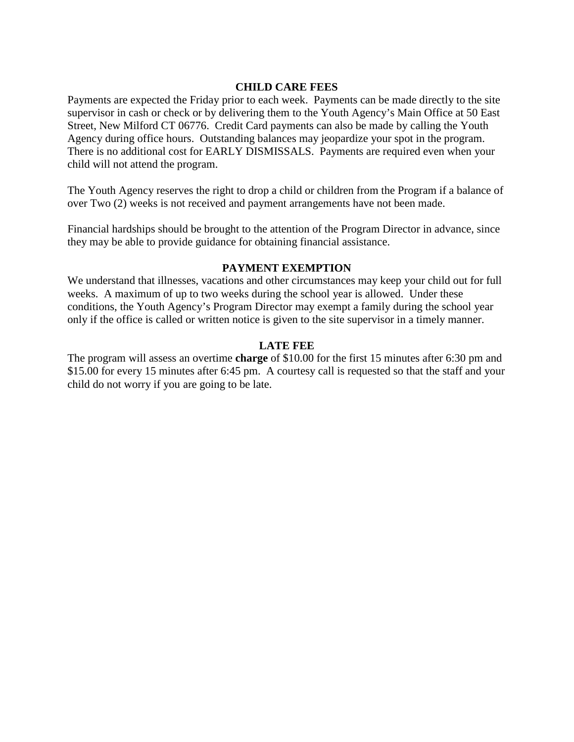#### **CHILD CARE FEES**

Payments are expected the Friday prior to each week. Payments can be made directly to the site supervisor in cash or check or by delivering them to the Youth Agency's Main Office at 50 East Street, New Milford CT 06776. Credit Card payments can also be made by calling the Youth Agency during office hours. Outstanding balances may jeopardize your spot in the program. There is no additional cost for EARLY DISMISSALS. Payments are required even when your child will not attend the program.

The Youth Agency reserves the right to drop a child or children from the Program if a balance of over Two (2) weeks is not received and payment arrangements have not been made.

Financial hardships should be brought to the attention of the Program Director in advance, since they may be able to provide guidance for obtaining financial assistance.

#### **PAYMENT EXEMPTION**

We understand that illnesses, vacations and other circumstances may keep your child out for full weeks. A maximum of up to two weeks during the school year is allowed. Under these conditions, the Youth Agency's Program Director may exempt a family during the school year only if the office is called or written notice is given to the site supervisor in a timely manner.

#### **LATE FEE**

The program will assess an overtime **charge** of \$10.00 for the first 15 minutes after 6:30 pm and \$15.00 for every 15 minutes after 6:45 pm. A courtesy call is requested so that the staff and your child do not worry if you are going to be late.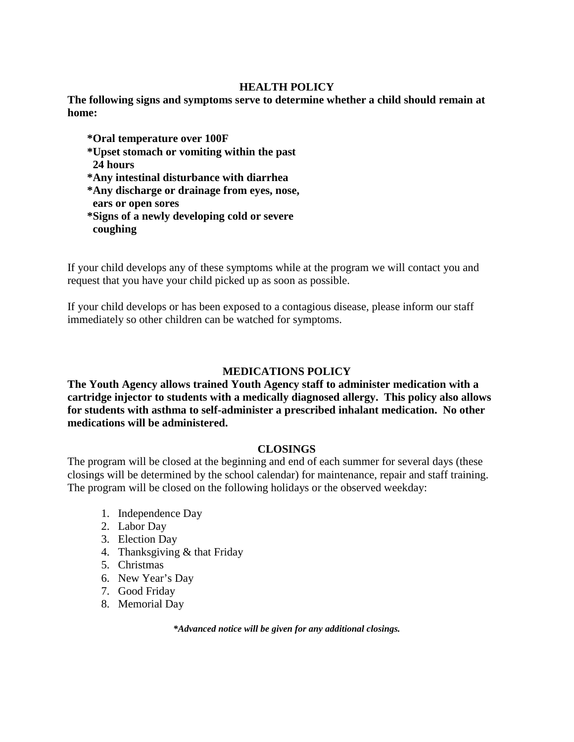#### **HEALTH POLICY**

**The following signs and symptoms serve to determine whether a child should remain at home:**

 **\*Oral temperature over 100F \*Upset stomach or vomiting within the past 24 hours \*Any intestinal disturbance with diarrhea \*Any discharge or drainage from eyes, nose, ears or open sores \*Signs of a newly developing cold or severe coughing**

If your child develops any of these symptoms while at the program we will contact you and request that you have your child picked up as soon as possible.

If your child develops or has been exposed to a contagious disease, please inform our staff immediately so other children can be watched for symptoms.

## **MEDICATIONS POLICY**

**The Youth Agency allows trained Youth Agency staff to administer medication with a cartridge injector to students with a medically diagnosed allergy. This policy also allows for students with asthma to self-administer a prescribed inhalant medication. No other medications will be administered.**

#### **CLOSINGS**

The program will be closed at the beginning and end of each summer for several days (these closings will be determined by the school calendar) for maintenance, repair and staff training. The program will be closed on the following holidays or the observed weekday:

- 1. Independence Day
- 2. Labor Day
- 3. Election Day
- 4. Thanksgiving & that Friday
- 5. Christmas
- 6. New Year's Day
- 7. Good Friday
- 8. Memorial Day

*\*Advanced notice will be given for any additional closings.*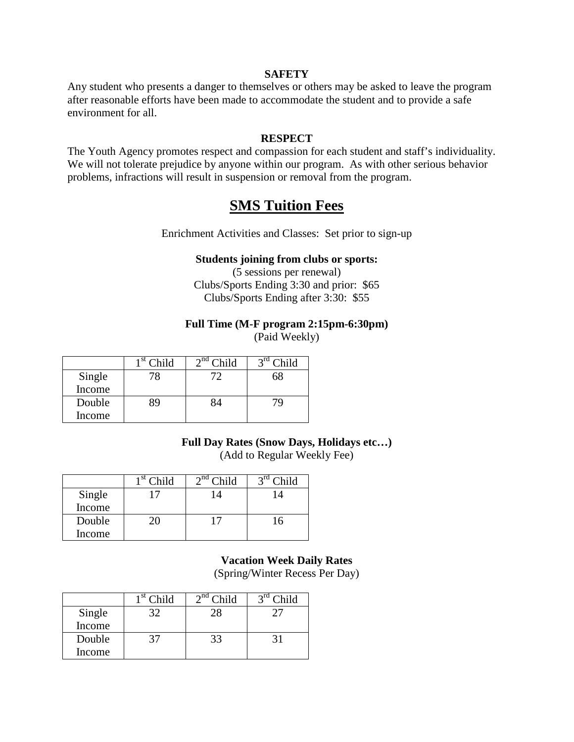#### **SAFETY**

Any student who presents a danger to themselves or others may be asked to leave the program after reasonable efforts have been made to accommodate the student and to provide a safe environment for all.

#### **RESPECT**

The Youth Agency promotes respect and compassion for each student and staff's individuality. We will not tolerate prejudice by anyone within our program. As with other serious behavior problems, infractions will result in suspension or removal from the program.

## **SMS Tuition Fees**

Enrichment Activities and Classes: Set prior to sign-up

#### **Students joining from clubs or sports:**

(5 sessions per renewal) Clubs/Sports Ending 3:30 and prior: \$65 Clubs/Sports Ending after 3:30: \$55

#### **Full Time (M-F program 2:15pm-6:30pm)**

(Paid Weekly)

|        | 1 St<br>Child | $\lambda$ nd<br>$C$ hild | $\gamma$ rd<br>$\gamma$ hild |
|--------|---------------|--------------------------|------------------------------|
| Single | 78            | 70                       |                              |
| Income |               |                          |                              |
| Double | 89            | 84                       |                              |
| Income |               |                          |                              |

## **Full Day Rates (Snow Days, Holidays etc…)**

(Add to Regular Weekly Fee)

|        | $1st$ Child | $2nd$ Child | $2^{\text{rd}}$<br>ild |
|--------|-------------|-------------|------------------------|
| Single |             |             |                        |
| Income |             |             |                        |
| Double |             |             | $\mathbf{6}$           |
| Income |             |             |                        |

#### **Vacation Week Daily Rates**

(Spring/Winter Recess Per Day)

|        | 1 St<br>`hild | $\lambda$ nd<br>hild | ild |
|--------|---------------|----------------------|-----|
| Single | 27            |                      |     |
| Income |               |                      |     |
| Double |               |                      |     |
| Income |               |                      |     |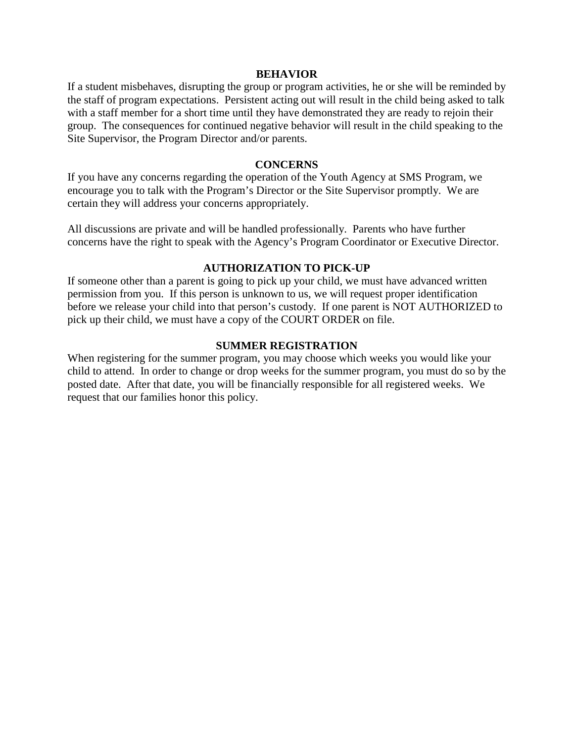#### **BEHAVIOR**

If a student misbehaves, disrupting the group or program activities, he or she will be reminded by the staff of program expectations. Persistent acting out will result in the child being asked to talk with a staff member for a short time until they have demonstrated they are ready to rejoin their group. The consequences for continued negative behavior will result in the child speaking to the Site Supervisor, the Program Director and/or parents.

#### **CONCERNS**

If you have any concerns regarding the operation of the Youth Agency at SMS Program, we encourage you to talk with the Program's Director or the Site Supervisor promptly. We are certain they will address your concerns appropriately.

All discussions are private and will be handled professionally. Parents who have further concerns have the right to speak with the Agency's Program Coordinator or Executive Director.

#### **AUTHORIZATION TO PICK-UP**

If someone other than a parent is going to pick up your child, we must have advanced written permission from you. If this person is unknown to us, we will request proper identification before we release your child into that person's custody. If one parent is NOT AUTHORIZED to pick up their child, we must have a copy of the COURT ORDER on file.

#### **SUMMER REGISTRATION**

When registering for the summer program, you may choose which weeks you would like your child to attend. In order to change or drop weeks for the summer program, you must do so by the posted date. After that date, you will be financially responsible for all registered weeks. We request that our families honor this policy.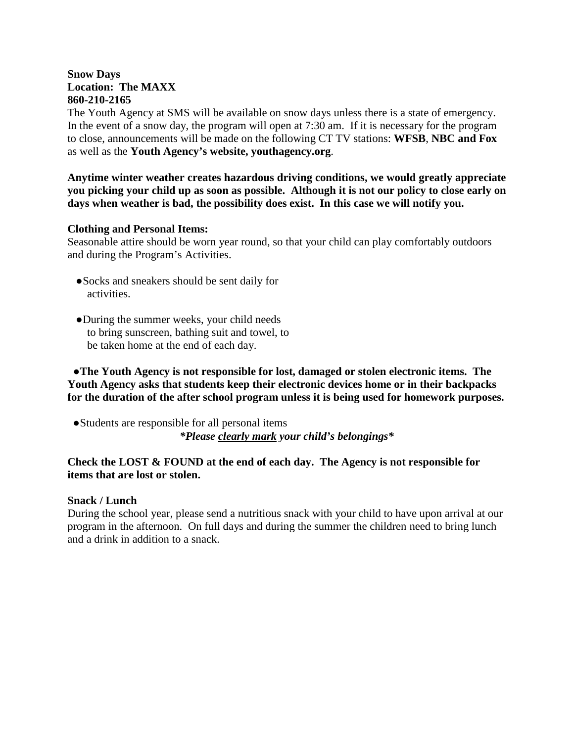#### **Snow Days Location: The MAXX 860-210-2165**

The Youth Agency at SMS will be available on snow days unless there is a state of emergency. In the event of a snow day, the program will open at 7:30 am. If it is necessary for the program to close, announcements will be made on the following CT TV stations: **WFSB**, **NBC and Fox** as well as the **Youth Agency's website, youthagency.org**.

**Anytime winter weather creates hazardous driving conditions, we would greatly appreciate you picking your child up as soon as possible. Although it is not our policy to close early on days when weather is bad, the possibility does exist. In this case we will notify you.**

#### **Clothing and Personal Items:**

Seasonable attire should be worn year round, so that your child can play comfortably outdoors and during the Program's Activities.

- ●Socks and sneakers should be sent daily for activities.
- ●During the summer weeks, your child needs to bring sunscreen, bathing suit and towel, to be taken home at the end of each day.

 **●The Youth Agency is not responsible for lost, damaged or stolen electronic items. The Youth Agency asks that students keep their electronic devices home or in their backpacks for the duration of the after school program unless it is being used for homework purposes.** 

 ●Students are responsible for all personal items *\*Please clearly mark your child's belongings\**

#### **Check the LOST & FOUND at the end of each day. The Agency is not responsible for items that are lost or stolen.**

## **Snack / Lunch**

During the school year, please send a nutritious snack with your child to have upon arrival at our program in the afternoon. On full days and during the summer the children need to bring lunch and a drink in addition to a snack.